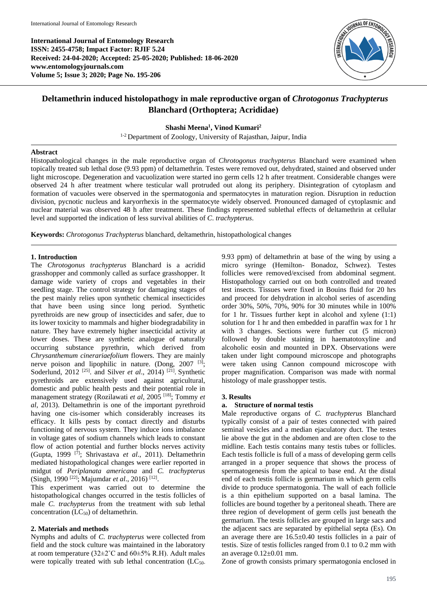**International Journal of Entomology Research ISSN: 2455-4758; Impact Factor: RJIF 5.24 Received: 24-04-2020; Accepted: 25-05-2020; Published: 18-06-2020 www.entomologyjournals.com Volume 5; Issue 3; 2020; Page No. 195-206**



# **Deltamethrin induced histolopathogy in male reproductive organ of** *Chrotogonus Trachypterus*  **Blanchard (Orthoptera; Acrididae)**

## **Shashi Meena<sup>1</sup> , Vinod Kumari<sup>2</sup>**

<sup>1-2</sup> Department of Zoology, University of Rajasthan, Jaipur, India

#### **Abstract**

Histopathological changes in the male reproductive organ of *Chrotogonus trachypterus* Blanchard were examined when topically treated sub lethal dose (9.93 ppm) of deltamethrin. Testes were removed out, dehydrated, stained and observed under light microscope. Degeneration and vacuolization were started ino germ cells 12 h after treatment. Considerable changes were observed 24 h after treatment where testicular wall protruded out along its periphery. Disintegration of cytoplasm and formation of vacuoles were observed in the spermatogonia and spermatocytes in maturation region. Disruption in reduction division, pycnotic nucleus and karyorrhexis in the spermatocyte widely observed. Pronounced damaged of cytoplasmic and nuclear material was observed 48 h after treatment. These findings represented sublethal effects of deltamethrin at cellular level and supported the indication of less survival abilities of *C*. *trachypterus*.

**Keywords:** *Chrotogonus Trachypterus* blanchard, deltamethrin, histopathological changes

## **1. Introduction**

The *Chrotogonus trachypterus* Blanchard is a acridid grasshopper and commonly called as surface grasshopper. It damage wide variety of crops and vegetables in their seedling stage. The control strategy for damaging stages of the pest mainly relies upon synthetic chemical insecticides that have been using since long period. Synthetic pyrethroids are new group of insecticides and safer, due to its lower toxicity to mammals and higher biodegradability in nature. They have extremely higher insecticidal activity at lower doses. These are synthetic analogue of naturally occurring substance pyrethrin, which derived from *Chrysanthemum cinerariaefolium* flowers. They are mainly nerve poison and lipophilic in nature. (Dong, 2007<sup>[3]</sup>; Soderlund, 2012<sup>[25]</sup>. and Silver *et al.*, 2014)<sup>[21]</sup>. Synthetic pyrethroids are extensively used against agricultural, domestic and public health pests and their potential role in management strategy (Rozilawati *et al*, 2005 [18] ; Tommy *et al*, 2013). Deltamethrin is one of the important pyrethroid having one cis-isomer which considerably increases its efficacy. It kills pests by contact directly and disturbs functioning of nervous system. They induce ions imbalance in voltage gates of sodium channels which leads to constant flow of action potential and further blocks nerves activity (Gupta, 1999 [7] ; Shrivastava *et al*., 2011). Deltamethrin mediated histopathological changes were earlier reported in midgut of *Periplanata americana* and *C. trachypterus* (Singh, 1990<sup>[22]</sup>; Majumdar *et al.*, 2016)<sup>[12]</sup>.

This experiment was carried out to determine the histopathological changes occurred in the testis follicles of male *C. trachypterus* from the treatment with sub lethal concentration  $(LC_{50})$  of deltamethrin.

## **2. Materials and methods**

Nymphs and adults of *C. trachypterus* were collected from field and the stock culture was maintained in the laboratory at room temperature ( $32\pm2^{\circ}$ C and  $60\pm5\%$  R.H). Adult males were topically treated with sub lethal concentration (LC<sub>50-</sub>

9.93 ppm) of deltamethrin at base of the wing by using a micro syringe (Hemilton- Bonadoz, Schwez). Testes follicles were removed/excised from abdominal segment. Histopathology carried out on both controlled and treated test insects. Tissues were fixed in Bouins fluid for 20 hrs and proceed for dehydration in alcohol series of ascending order 30%, 50%, 70%, 90% for 30 minutes while in 100% for 1 hr. Tissues further kept in alcohol and xylene (1:1) solution for 1 hr and then embedded in paraffin wax for 1 hr with 3 changes. Sections were further cut (5 micron) followed by double staining in haematotoxyline and alcoholic eosin and mounted in DPX. Observations were taken under light compound microscope and photographs were taken using Cannon compound microscope with proper magnification. Comparison was made with normal histology of male grasshopper testis.

## **3. Results**

## **a. Structure of normal testis**

Male reproductive organs of *C. trachypterus* Blanchard typically consist of a pair of testes connected with paired seminal vesicles and a median ejaculatory duct. The testes lie above the gut in the abdomen and are often close to the midline. Each testis contains many testis tubes or follicles. Each testis follicle is full of a mass of developing germ cells arranged in a proper sequence that shows the process of spermatogenesis from the apical to base end. At the distal end of each testis follicle is germarium in which germ cells divide to produce spermatogonia. The wall of each follicle is a thin epithelium supported on a basal lamina. The follicles are bound together by a peritoneal sheath. There are three region of development of germ cells just beneath the germarium. The testis follicles are grouped in large sacs and the adjacent sacs are separated by epithelial septa (Es). On an average there are 16.5±0.40 testis follicles in a pair of testis. Size of testis follicles ranged from 0.1 to 0.2 mm with an average  $0.12\pm0.01$  mm.

Zone of growth consists primary spermatogonia enclosed in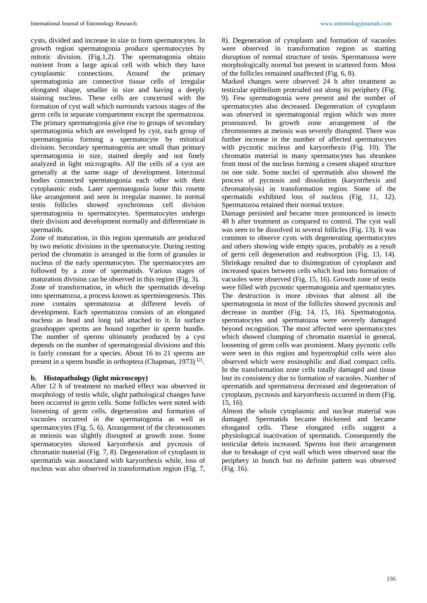cysts, divided and increase in size to form spermatocytes. In growth region spermatogonia produce spermatocytes by mitotic division. (Fig.1,2). The spermatogonia obtain nutrient from a large apical cell with which they have cytoplasmic connections. Around the primary spermatogonia are connective tissue cells of irregular elongated shape, smaller in size and having a deeply staining nucleus. These cells are concerned with the formation of cyst wall which surrounds various stages of the germ cells in separate compartment except the spermatozoa. The primary spermatogonia give rise to groups of secondary spermatogonia which are enveloped by cyst, each group of spermatogonia forming a spermatocyte by mitotical division. Secondary spermatogonia are small than primary spermatogonia in size, stained deeply and not finely analyzed in light micrographs. All the cells of a cyst are generally at the same stage of development. Interzonal bodies connected spermatogonia each other with their cytoplasmic ends. Later spermatogonia loose this rosette like arrangement and seen in irregular manner. In normal testis follicles showed synchronous cell division spermatogonia to spermatocytes. Spermatocytes undergo their division and development normally and differentiate in spermatids.

Zone of maturation, in this region spermatids are produced by two meiotic divisions in the spermatocyte. During resting period the chromatin is arranged in the form of granules in nucleus of the early spermatocytes. The spermatocytes are followed by a zone of spermatids. Various stages of maturation division can be observed in this region (Fig. 3).

Zone of transformation, in which the spermatids develop into spermatozoa, a process known as spermieogenesis. This zone contains spermatozoa at different levels of development. Each spermatozoa consists of an elongated nucleus as head and long tail attached to it. In surface grasshopper sperms are bound together in sperm bundle. The number of sperms ultimately produced by a cyst depends on the number of spermatogonial divisions and this is fairly constant for a species. About 16 to 21 sperms are present in a sperm bundle in orthoptera (Chapman, 1973)<sup>[2]</sup>.

# **b. Histopathology (light microscopy)**

After 12 h of treatment no marked effect was observed in morphology of testis while, slight pathological changes have been occurred in germ cells. Some follicles were noted with loosening of germ cells, degeneration and formation of vacuoles occurred in the spermatogonia as well as spermatocytes (Fig. 5, 6). Arrangement of the chromosomes at meiosis was slightly disrupted at growth zone. Some spermatocytes showed karyorrhexis and pycnosis of chromatin material (Fig. 7, 8). Degeneration of cytoplasm in spermatids was associated with karyorrhexis while, loss of nucleus was also observed in transformation region (Fig. 7, 8). Degeneration of cytoplasm and formation of vacuoles were observed in transformation region as starting disruption of normal structure of testis. Spermatozoa were morphologically normal but present in scattered form. Most of the follicles remained unaffected (Fig. 6, 8).

Marked changes were observed 24 h after treatment as testicular epithelium protruded out along its periphery (Fig. 9). Few spermatogonia were present and the number of spermatocytes also decreased. Degeneration of cytoplasm was observed in spermatogonial region which was more pronounced. In growth zone arrangement of the chromosomes at meiosis was severely disrupted. There was further increase in the number of affected spermatocytes with pycnotic nucleus and karyorrhexis (Fig. 10). The chromatin material in many spermatocytes has shrunken from most of the nucleus forming a cresent shaped structure on one side. Some nuclei of spermatids also showed the process of pycnosis and dissolution (karyorrhexis and chromatolysis) in transformation region. Some of the spermatids exhibited loss of nucleus (Fig. 11, 12). Spermatozoa retained their normal texture.

Damage persisted and became more pronounced in insects 48 h after treatment as compared to control. The cyst wall was seen to be dissolved in several follicles (Fig. 13). It was common to observe cysts with degenerating spermatocytes and others showing wide empty spaces, probably as a result of germ cell degeneration and reabsorption (Fig. 13, 14). Shrinkage resulted due to disintegration of cytoplasm and increased spaces between cells which lead into formation of vacuoles were observed (Fig. 15, 16). Growth zone of testis were filled with pycnotic spermatogonia and spermatocytes. The destruction is more obvious that almost all the spermatogonia in most of the follicles showed pycnosis and decrease in number (Fig. 14, 15, 16). Spermatogonia, spermatocytes and spermatozoa were severely damaged beyond recognition. The most affected were spermatocytes which showed clumping of chromatin material in general, loosening of germ cells was prominent. Many pycnotic cells were seen in this region and hypertrophid cells were also observed which were eosinophilic and diad compact cells. In the transformation zone cells totally damaged and tissue lost its consistency due to formation of vacuoles. Number of spermatids and spermatozoa decreased and degeneration of cytoplasm, pycnosis and karyorrhexis occurred in them (Fig. 15, 16).

Almost the whole cytoplasmic and nuclear material was damaged. Spermatids became thickened and became elongated cells. These elongated cells suggest a physiological inactivation of spermatids. Consequently the testicular debris increased. Sperms lost their arrangement due to breakage of cyst wall which were observed near the periphery in bunch but no definite pattern was observed (Fig. 16).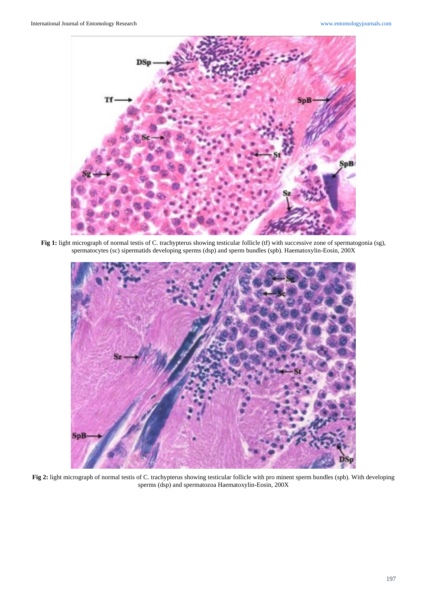

Fig 1: light micrograph of normal testis of C. trachypterus showing testicular follicle (tf) with successive zone of spermatogonia (sg), spermatocytes (sc) sipermatids developing sperms (dsp) and sperm bundles (spb). Haematoxylin-Eosin, 200X



Fig 2: light micrograph of normal testis of C. trachypterus showing testicular follicle with pro minent sperm bundles (spb). With developing sperms (dsp) and spermatozoa Haematoxylin-Eosin, 200X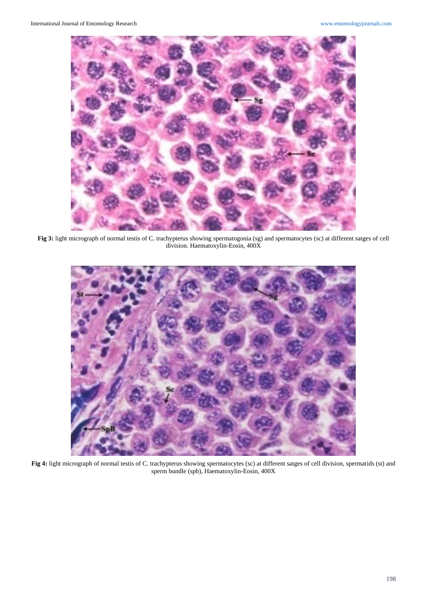

**Fig 3:** light micrograph of normal testis of C. trachypterus showing spermatogonia (sg) and spermatocytes (sc) at different satges of cell division. Haematoxylin-Eosin, 400X



**Fig 4:** light micrograph of normal testis of C. trachypterus showing spermatocytes (sc) at different satges of cell division, spermatids (st) and sperm bundle (spb), Haematoxylin-Eosin, 400X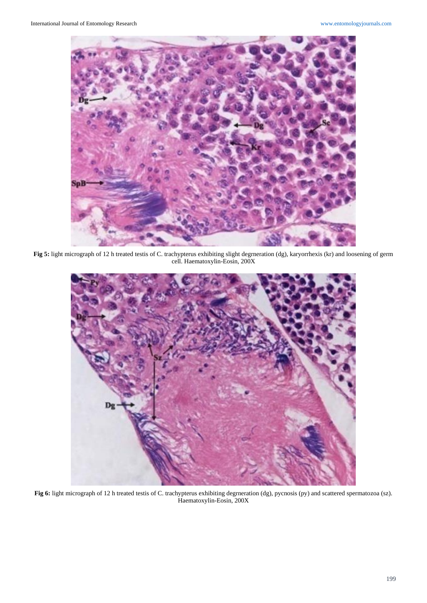

**Fig 5:** light micrograph of 12 h treated testis of C. trachypterus exhibiting slight degrneration (dg), karyorrhexis (kr) and loosening of germ cell. Haematoxylin-Eosin, 200X



Fig 6: light micrograph of 12 h treated testis of C. trachypterus exhibiting degrneration (dg), pycnosis (py) and scattered spermatozoa (sz). Haematoxylin-Eosin, 200X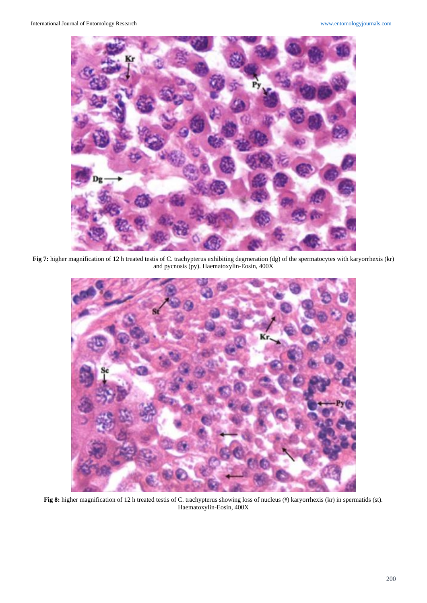

Fig 7: higher magnification of 12 h treated testis of C. trachypterus exhibiting degrneration (dg) of the spermatocytes with karyorrhexis (kr) and pycnosis (py). Haematoxylin-Eosin, 400X



Fig 8: higher magnification of 12 h treated testis of C. trachypterus showing loss of nucleus (<sup>†</sup>) karyorrhexis (kr) in spermatids (st). Haematoxylin-Eosin, 400X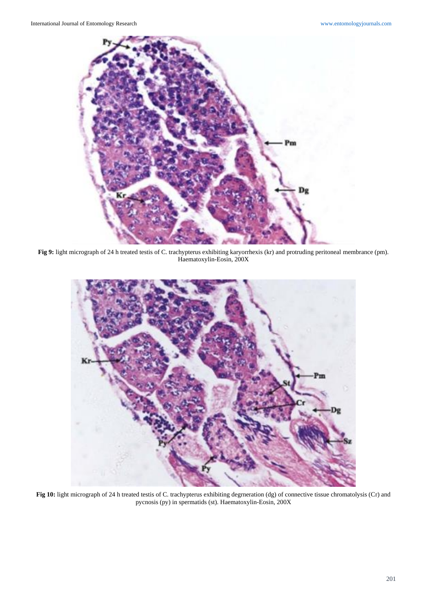

**Fig 9:** light micrograph of 24 h treated testis of C. trachypterus exhibiting karyorrhexis (kr) and protruding peritoneal membrance (pm). Haematoxylin-Eosin, 200X



**Fig 10:** light micrograph of 24 h treated testis of C. trachypterus exhibiting degrneration (dg) of connective tissue chromatolysis (Cr) and pycnosis (py) in spermatids (st). Haematoxylin-Eosin, 200X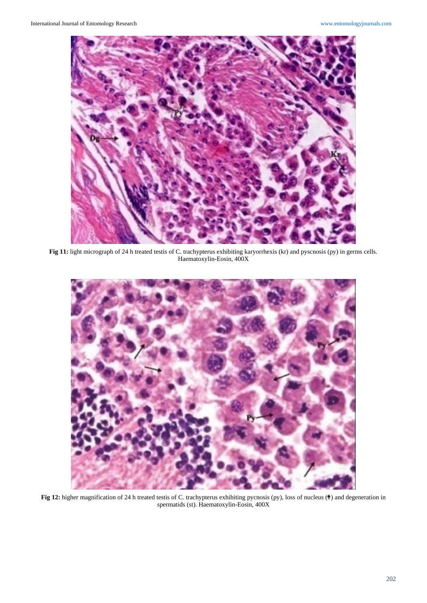

**Fig 11:** light micrograph of 24 h treated testis of C. trachypterus exhibiting karyorrhexis (kr) and pyscnosis (py) in germs cells. Haematoxylin-Eosin, 400X



**Fig 12:** higher magnification of 24 h treated testis of C. trachypterus exhibiting pycnosis (py), loss of nucleus ( $\uparrow$ ) and degeneration in spermatids (st). Haematoxylin-Eosin, 400X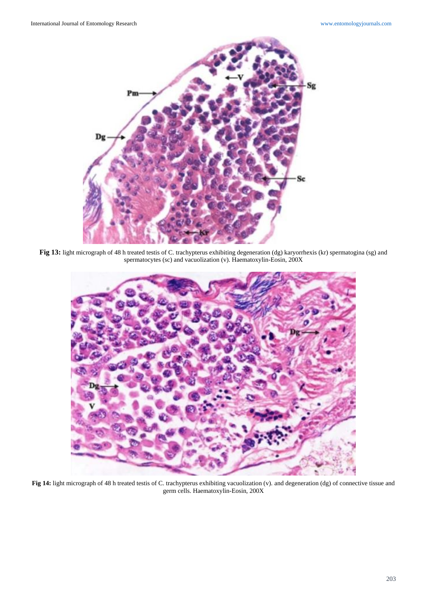

Fig 13: light micrograph of 48 h treated testis of C. trachypterus exhibiting degeneration (dg) karyorrhexis (kr) spermatogina (sg) and spermatocytes (sc) and vacuolization (v). Haematoxylin-Eosin, 200X



Fig 14: light micrograph of 48 h treated testis of C. trachypterus exhibiting vacuolization (v). and degeneration (dg) of connective tissue and germ cells. Haematoxylin-Eosin, 200X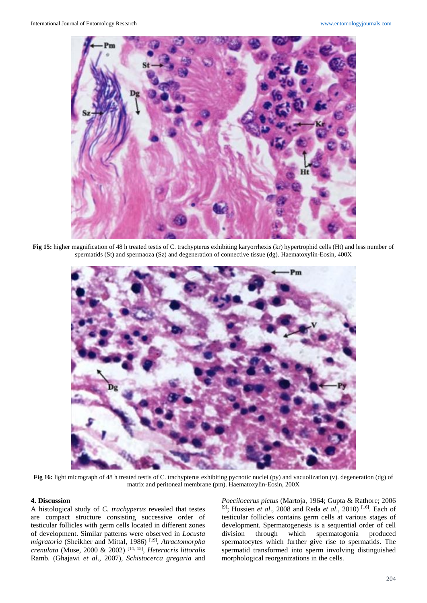

**Fig 15:** higher magnification of 48 h treated testis of C. trachypterus exhibiting karyorrhexis (kr) hypertrophid cells (Ht) and less number of spermatids (St) and spermaoza (Sz) and degeneration of connective tissue (dg). Haematoxylin-Eosin, 400X



Fig 16: light micrograph of 48 h treated testis of C. trachypterus exhibiting pycnotic nuclei (py) and vacuolization (v). degeneration (dg) of matrix and peritoneal membrane (pm). Haematoxylin-Eosin, 200X

# **4. Discussion**

A histological study of *C. trachyperus* revealed that testes are compact structure consisting successive order of testicular follicles with germ cells located in different zones of development. Similar patterns were observed in *Locusta migratoria* (Sheikher and Mittal, 1986) [19] , *Atractomorpha crenulata* (Muse, 2000 & 2002) [14, 15] , *Heteracris littoralis*  Ramb. (Ghajawi *et al*., 2007), *Schistocerca gregaria* and

*Poecilocerus pictus* (Martoja, 1964; Gupta & Rathore; 2006 <sup>[9]</sup>; Hussien *et al.*, 2008 and Reda *et al.*, 2010)<sup>[16]</sup>. Each of testicular follicles contains germ cells at various stages of development. Spermatogenesis is a sequential order of cell division through which spermatogonia produced spermatocytes which further give rise to spermatids. The spermatid transformed into sperm involving distinguished morphological reorganizations in the cells.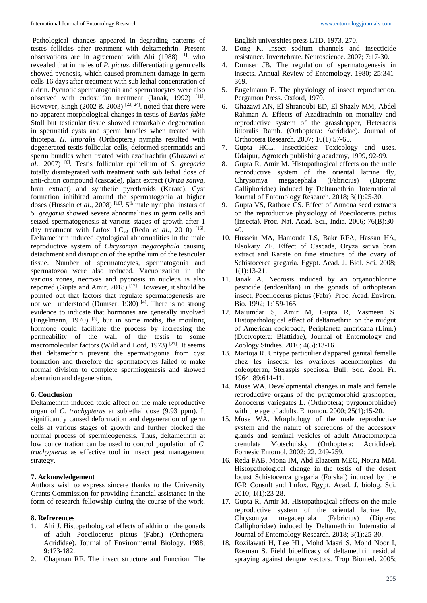Pathological changes appeared in degrading patterns of testes follicles after treatment with deltamethrin. Present observations are in agreement with Ahi (1988) <sup>[1]</sup>. who revealed that in males of *P. pictus*, differentiating germ cells showed pycnosis, which caused prominent damage in germ cells 16 days after treatment with sub lethal concentration of aldrin. Pycnotic spermatogonia and spermatocytes were also observed with endosulfan treatment (Janak, 1992)<sup>[11]</sup>. However, Singh (2002  $\&$  2003)<sup>[23, 24]</sup>. noted that there were no apparent morphological changes in testis of *Earias fabia* Stoll but testicular tissue showed remarkable degeneration in spermatid cysts and sperm bundles when treated with thiotepa. *H. littoralis* (Orthoptera) nymphs resulted with degenerated testis follicular cells, deformed spermatids and sperm bundles when treated with azadirachtin (Ghazawi *et al*., 2007) [6] . Testis follicular epithelium of *S. gregaria* totally disintegrated with treatment with sub lethal dose of anti-chitin compound (cascade), plant extract (*Oriza sativa,*  bran extract) and synthetic pyrethroids (Karate). Cyst formation inhibited around the spermatogonia at higher doses (Hussein *et al.*, 2008)<sup>[10]</sup>. 5<sup>th</sup> male nymphal instars of *S. gregaria* showed severe abnormalities in germ cells and seized spermatogenesis at various stages of growth after 1 day treatment with Lufox LC<sub>50</sub> (Reda et al., 2010)<sup>[16]</sup>. Deltamethrin induced cytological abnormalities in the male reproductive system of *Chrysomya megacephala* causing detachment and disruption of the epithelium of the testicular tissue. Number of spermatocytes, spermatogonia and spermatozoa were also reduced. Vacuolization in the various zones, necrosis and pycnosis in nucleus is also reported (Gupta and Amir, 2018)<sup>[17]</sup>. However, it should be pointed out that factors that regulate spermatogenesis are not well understood (Dumser, 1980)<sup>[4]</sup>. There is no strong evidence to indicate that hormones are generally involved (Engelmann, 1970)  $[5]$ , but in some moths, the moulting hormone could facilitate the process by increasing the permeability of the wall of the testis to some macromolecular factors (Wild and Loof, 1973)<sup>[27]</sup>. It seems that deltamethrin prevent the spermatogonia from cyst formation and therefore the spermatocytes failed to make normal division to complete spermiogenesis and showed aberration and degeneration.

#### **6. Conclusion**

Deltamethrin induced toxic affect on the male reproductive organ of *C. trachypterus* at sublethal dose (9.93 ppm)*.* It significantly caused deformation and degeneration of germ cells at various stages of growth and further blocked the normal process of spermieogenesis. Thus, deltamethrin at low concentration can be used to control population of *C. trachypterus* as effective tool in insect pest management strategy.

#### **7. Acknowledgement**

Authors wish to express sincere thanks to the University Grants Commission for providing financial assistance in the form of research fellowship during the course of the work.

#### **8. Refrerences**

- 1. Ahi J. Histopathological effects of aldrin on the gonads of adult Poecilocerus pictus (Fabr.) (Orthoptera: Acrididae). Journal of Environmental Biology. 1988; **9**:173-182.
- 2. Chapman RF. The insect structure and Function. The

English universities press LTD, 1973, 270.

- 3. Dong K. Insect sodium channels and insecticide resistance. Invertebrate. Neuroscience. 2007; 7:17-30.
- 4. Dumser JB. The regulation of spermatogenesis in insects. Annual Review of Entomology. 1980; 25:341- 369.
- 5. Engelmann F. The physiology of insect reproduction. Pergamon Press. Oxford, 1970.
- 6. Ghazawi AN, El-Shranoubi ED, El-Shazly MM, Abdel Rahman A. Effects of Azadirachtin on mortality and reproductive system of the grasshopper, Heteracris littoralis Ramb. (Orthoptera: Acrididae). Journal of Orthoptera Research. 2007; 16(1):57-65.
- 7. Gupta HCL. Insecticides: Toxicology and uses. Udaipur, Agrotech publishing academy, 1999, 92-99.
- 8. Gupta R, Amir M. Histopathogical effects on the male reproductive system of the oriental latrine fly, Chrysomya megacephala (Fabricius) (Diptera: Calliphoridae) induced by Deltamethrin. International Journal of Entomology Research. 2018; 3(1):25-30.
- 9. Gupta VS, Rathore CS. Effect of Annona seed extracts on the reproductive physiology of Poecilocerus pictus (Insecta). Proc. Nat. Acad. Sci., India. 2006; 76(B):30- 40.
- 10. Hussein MA, Hamouda LS, Bakr RFA, Hassan HA, Elsokary ZF. Effect of Cascade, Oryza sativa bran extract and Karate on fine structure of the ovary of Schistocerca gregaria. Egypt. Acad. J. Biol. Sci. 2008; 1(1):13-21.
- 11. Janak A. Necrosis induced by an organochlorine pesticide (endosulfan) in the gonads of orthopteran insect, Poecilocerus pictus (Fabr). Proc. Acad. Environ. Bio. 1992; 1:159-165.
- 12. Majumdar S, Amir M, Gupta R, Yasmeen S. Histopathological effect of deltamethrin on the midgut of American cockroach, Periplaneta americana (Linn.) (Dictyoptera: Blattidae), Journal of Entomology and Zoology Studies. 2016; 4(5):13-16.
- 13. Martoja R. Untype particulier d'appareil genital femelle chez les insects: les ovarioles adenomorphes du coleopteran, Steraspis speciosa. Bull. Soc. Zool. Fr. 1964; 89:614-41.
- 14. Muse WA. Developmental changes in male and female reproductive organs of the pyrgomorphid grashopper, Zonocerus variegates L. (Orthoptera; pyrgomorphidae) with the age of adults. Entomon. 2000; 25(1):15-20.
- 15. Muse WA. Morphology of the male reproductive system and the nature of secretions of the accessory glands and seminal vesicles of adult Atractomorpha crenulata Motschulsky (Orthoptera: Acrididae). Fornesic Entomol. 2002; 22, 249-259.
- 16. Reda FAB, Mona IM, Abd Elazeem MEG, Noura MM. Histopathological change in the testis of the desert locust Schistocerca gregaria (Forskal) induced by the IGR Consult and Lufox. Egypt. Acad. J. biolog. Sci. 2010; 1(1):23-28.
- 17. Gupta R, Amir M. Histopathogical effects on the male reproductive system of the oriental latrine fly, Chrysomya megacephala (Fabricius) (Diptera: Calliphoridae) induced by Deltamethrin. International Journal of Entomology Research. 2018; 3(1):25-30.
- 18. Rozilawati H, Lee HL, Mohd Masri S, Mohd Noor I, Rosman S. Field bioefficacy of deltamethrin residual spraying against dengue vectors. Trop Biomed. 2005;